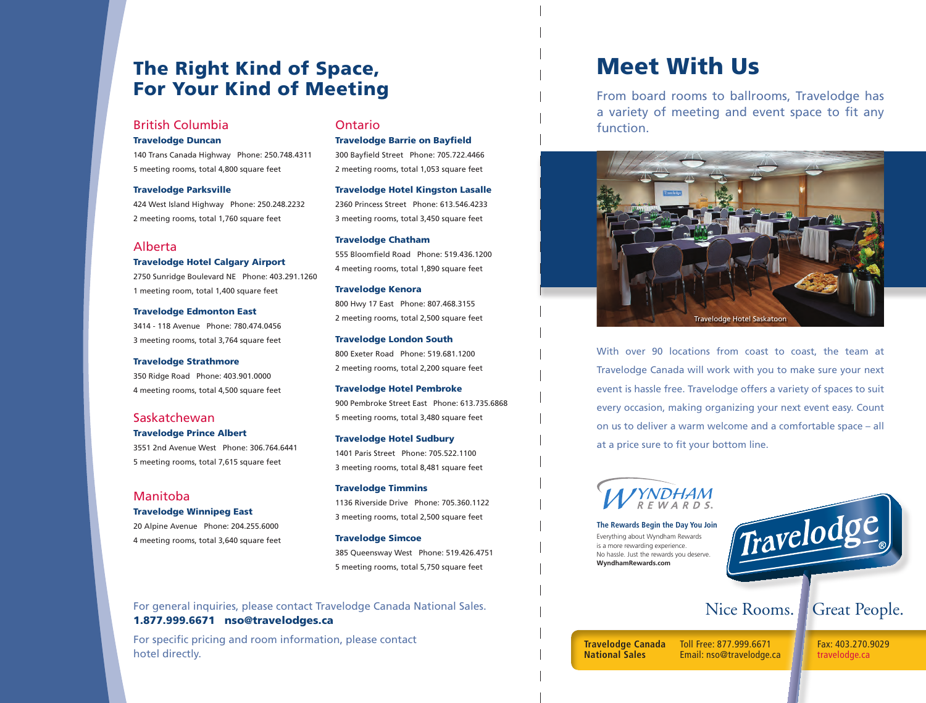# The Right Kind of Space, For Your Kind of Meeting

# British Columbia

### Travelodge Duncan

140 Trans Canada Highway Phone: 250.748.4311 5 meeting rooms, total 4,800 square feet

#### Travelodge Parksville

424 West Island Highway Phone: 250.248.2232 2 meeting rooms, total 1,760 square feet

### Alberta

Travelodge Hotel Calgary Airport

2750 Sunridge Boulevard NE Phone: 403.291.1260 1 meeting room, total 1,400 square feet

Travelodge Edmonton East 3414 - 118 Avenue Phone: 780.474.0456 3 meeting rooms, total 3,764 square feet

Travelodge Strathmore 350 Ridge Road Phone: 403.901.0000 4 meeting rooms, total 4,500 square feet

### Saskatchewan

### Travelodge Prince Albert

3551 2nd Avenue West Phone: 306.764.6441 5 meeting rooms, total 7,615 square feet

### Manitoba

Travelodge Winnipeg East

20 Alpine Avenue Phone: 204.255.6000 4 meeting rooms, total 3,640 square feet

### Ontario

Travelodge Barrie on Bayfield 300 Bayfield Street Phone: 705.722.4466 2 meeting rooms, total 1,053 square feet

Travelodge Hotel Kingston Lasalle 2360 Princess Street Phone: 613.546.4233 3 meeting rooms, total 3,450 square feet

Travelodge Chatham 555 Bloomfield Road Phone: 519.436.1200 4 meeting rooms, total 1,890 square feet

Travelodge Kenora 800 Hwy 17 East Phone: 807.468.3155 2 meeting rooms, total 2,500 square feet

Travelodge London South 800 Exeter Road Phone: 519.681.1200 2 meeting rooms, total 2,200 square feet

Travelodge Hotel Pembroke 900 Pembroke Street East Phone: 613.735.6868 5 meeting rooms, total 3,480 square feet

Travelodge Hotel Sudbury 1401 Paris Street Phone: 705.522.1100 3 meeting rooms, total 8,481 square feet

Travelodge Timmins 1136 Riverside Drive Phone: 705.360.1122 3 meeting rooms, total 2,500 square feet

Travelodge Simcoe 385 Queensway West Phone: 519.426.4751 5 meeting rooms, total 5,750 square feet

For general inquiries, please contact Travelodge Canada National Sales. 1.877.999.6671 nso@travelodges.ca

For specific pricing and room information, please contact hotel directly.

# Meet With Us

From board rooms to ballrooms, Travelodge has a variety of meeting and event space to fit any function.



With over 90 locations from coast to coast, the team at Travelodge Canada will work with you to make sure your next event is hassle free. Travelodge offers a variety of spaces to suit every occasion, making organizing your next event easy. Count on us to deliver a warm welcome and a comfortable space – all at a price sure to fit your bottom line.